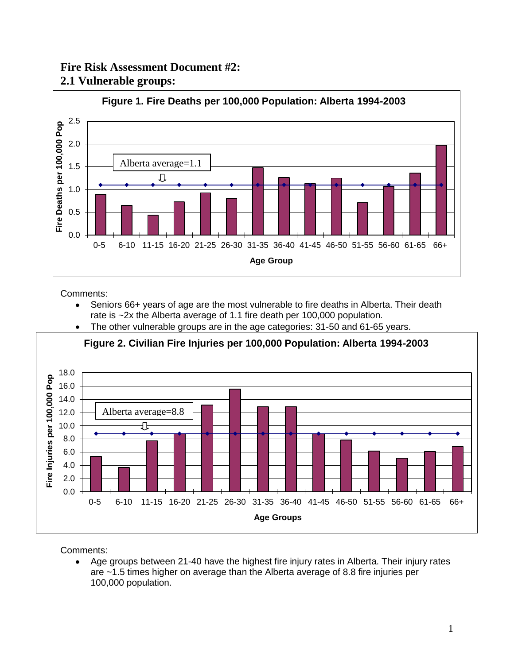## **Fire Risk Assessment Document #2: 2.1 Vulnerable groups:**



Comments:

- Seniors 66+ years of age are the most vulnerable to fire deaths in Alberta. Their death rate is ~2x the Alberta average of 1.1 fire death per 100,000 population.
- The other vulnerable groups are in the age categories: 31-50 and 61-65 years.  $\bullet$



**Figure 2. Civilian Fire Injuries per 100,000 Population: Alberta 1994-2003**

Comments:

Age groups between 21-40 have the highest fire injury rates in Alberta. Their injury rates  $\bullet$ are ~1.5 times higher on average than the Alberta average of 8.8 fire injuries per 100,000 population.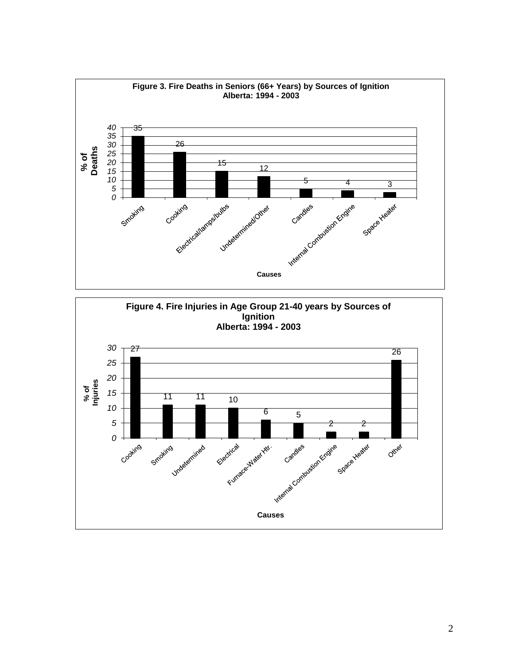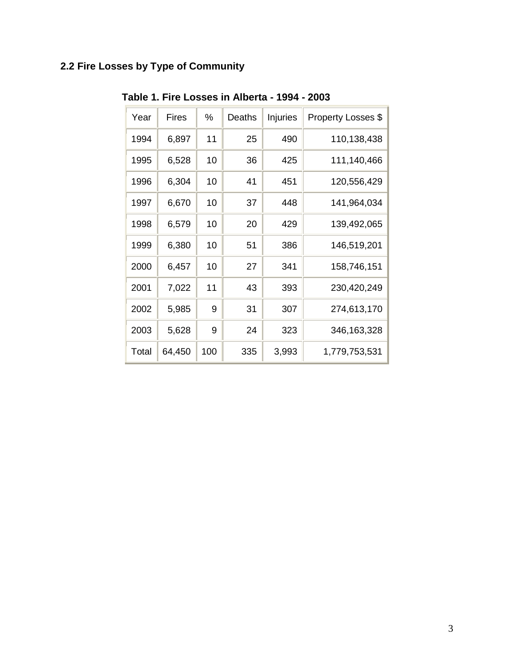# **2.2 Fire Losses by Type of Community**

| Year  | Fires  | %   | Deaths | Injuries | Property Losses \$ |
|-------|--------|-----|--------|----------|--------------------|
| 1994  | 6,897  | 11  | 25     | 490      | 110,138,438        |
| 1995  | 6,528  | 10  | 36     | 425      | 111,140,466        |
| 1996  | 6,304  | 10  | 41     | 451      | 120,556,429        |
| 1997  | 6,670  | 10  | 37     | 448      | 141,964,034        |
| 1998  | 6,579  | 10  | 20     | 429      | 139,492,065        |
| 1999  | 6,380  | 10  | 51     | 386      | 146,519,201        |
| 2000  | 6,457  | 10  | 27     | 341      | 158,746,151        |
| 2001  | 7,022  | 11  | 43     | 393      | 230,420,249        |
| 2002  | 5,985  | 9   | 31     | 307      | 274,613,170        |
| 2003  | 5,628  | 9   | 24     | 323      | 346, 163, 328      |
| Total | 64,450 | 100 | 335    | 3,993    | 1,779,753,531      |

**Table 1. Fire Losses in Alberta - 1994 - 2003**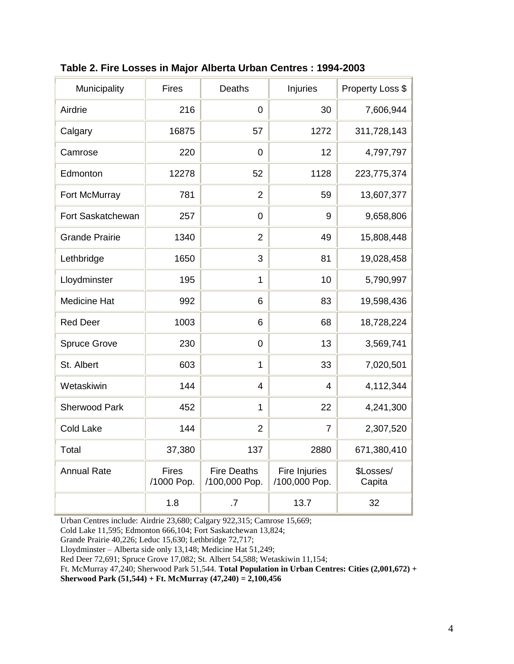| Municipality          | <b>Fires</b>               | <b>Deaths</b>                       | <b>Injuries</b>                | Property Loss \$    |
|-----------------------|----------------------------|-------------------------------------|--------------------------------|---------------------|
| Airdrie               | 216                        | 0                                   | 30                             | 7,606,944           |
| Calgary               | 16875                      | 57                                  | 1272                           | 311,728,143         |
| Camrose               | 220                        | 0                                   | 12                             | 4,797,797           |
| Edmonton              | 12278                      | 52                                  | 1128                           | 223,775,374         |
| Fort McMurray         | 781                        | $\overline{2}$                      | 59                             | 13,607,377          |
| Fort Saskatchewan     | 257                        | 0                                   | 9                              | 9,658,806           |
| <b>Grande Prairie</b> | 1340                       | $\overline{2}$                      | 49                             | 15,808,448          |
| Lethbridge            | 1650                       | 3                                   | 81                             | 19,028,458          |
| Lloydminster          | 195                        | $\mathbf{1}$                        | 10                             | 5,790,997           |
| <b>Medicine Hat</b>   | 992                        | 6                                   | 83                             | 19,598,436          |
| <b>Red Deer</b>       | 1003                       | 6                                   | 68                             | 18,728,224          |
| <b>Spruce Grove</b>   | 230                        | 0                                   | 13                             | 3,569,741           |
| St. Albert            | 603                        | 1                                   | 33                             | 7,020,501           |
| Wetaskiwin            | 144                        | $\overline{4}$                      | $\overline{4}$                 | 4,112,344           |
| <b>Sherwood Park</b>  | 452                        | $\mathbf{1}$                        | 22                             | 4,241,300           |
| <b>Cold Lake</b>      | 144                        | $\overline{2}$                      | $\overline{7}$                 | 2,307,520           |
| Total                 | 37,380                     | 137                                 | 2880                           | 671,380,410         |
| <b>Annual Rate</b>    | <b>Fires</b><br>/1000 Pop. | <b>Fire Deaths</b><br>/100,000 Pop. | Fire Injuries<br>/100,000 Pop. | \$Losses/<br>Capita |
|                       | 1.8                        | .7                                  | 13.7                           | 32                  |

**Table 2. Fire Losses in Major Alberta Urban Centres : 1994-2003**

Urban Centres include: Airdrie 23,680; Calgary 922,315; Camrose 15,669;

Cold Lake 11,595; Edmonton 666,104; Fort Saskatchewan 13,824;

Grande Prairie 40,226; Leduc 15,630; Lethbridge 72,717;

Lloydminster – Alberta side only 13,148; Medicine Hat 51,249;

Red Deer 72,691; Spruce Grove 17,082; St. Albert 54,588; Wetaskiwin 11,154;

Ft. McMurray 47,240; Sherwood Park 51,544. **Total Population in Urban Centres: Cities (2,001,672) +** 

**Sherwood Park (51,544) + Ft. McMurray (47,240) = 2,100,456**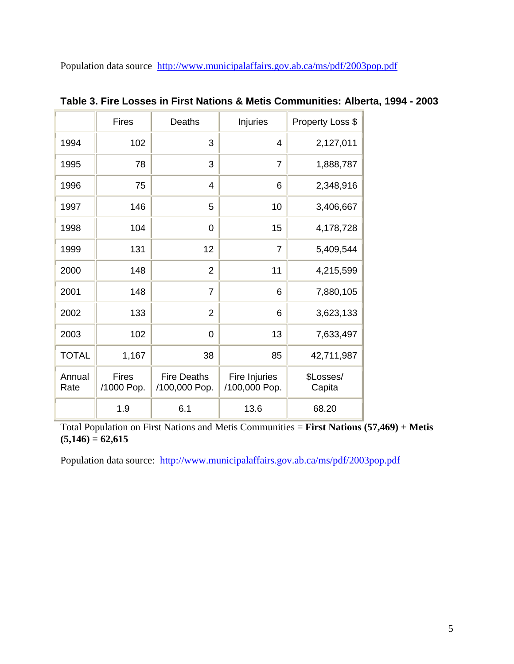Population data source <http://www.municipalaffairs.gov.ab.ca/ms/pdf/2003pop.pdf>

|                | <b>Fires</b>               | <b>Deaths</b>                       | Injuries                       | Property Loss \$    |
|----------------|----------------------------|-------------------------------------|--------------------------------|---------------------|
| 1994           | 102                        | 3                                   | 4                              | 2,127,011           |
| 1995           | 78                         | 3                                   | $\overline{7}$                 | 1,888,787           |
| 1996           | 75                         | 4                                   | 6                              | 2,348,916           |
| 1997           | 146                        | 5                                   | 10                             | 3,406,667           |
| 1998           | 104                        | $\mathbf 0$                         | 15                             | 4,178,728           |
| 1999           | 131                        | 12                                  | $\overline{7}$                 | 5,409,544           |
| 2000           | 148                        | $\overline{2}$                      | 11                             | 4,215,599           |
| 2001           | 148                        | $\overline{7}$                      | 6                              | 7,880,105           |
| 2002           | 133                        | $\overline{2}$                      | 6                              | 3,623,133           |
| 2003           | 102                        | 0                                   | 13                             | 7,633,497           |
| <b>TOTAL</b>   | 1,167                      | 38                                  | 85                             | 42,711,987          |
| Annual<br>Rate | <b>Fires</b><br>/1000 Pop. | <b>Fire Deaths</b><br>/100,000 Pop. | Fire Injuries<br>/100,000 Pop. | \$Losses/<br>Capita |
|                | 1.9                        | 6.1                                 | 13.6                           | 68.20               |

**Table 3. Fire Losses in First Nations & Metis Communities: Alberta, 1994 - 2003**

Total Population on First Nations and Metis Communities = **First Nations (57,469) + Metis**   $(5,146) = 62,615$ 

Population data source: <http://www.municipalaffairs.gov.ab.ca/ms/pdf/2003pop.pdf>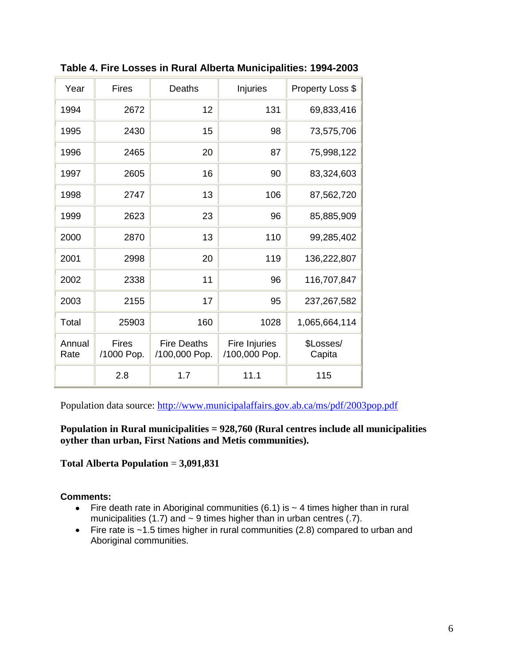| Year           | <b>Fires</b>               | Deaths                              | Injuries                       | Property Loss \$    |
|----------------|----------------------------|-------------------------------------|--------------------------------|---------------------|
| 1994           | 2672                       | 12                                  | 131                            | 69,833,416          |
| 1995           | 2430                       | 15                                  | 98                             | 73,575,706          |
| 1996           | 2465                       | 20                                  | 87                             | 75,998,122          |
| 1997           | 2605                       | 16                                  | 90                             | 83,324,603          |
| 1998           | 2747                       | 13                                  | 106                            | 87,562,720          |
| 1999           | 2623                       | 23                                  | 96                             | 85,885,909          |
| 2000           | 2870                       | 13                                  | 110                            | 99,285,402          |
| 2001           | 2998                       | 20                                  | 119                            | 136,222,807         |
| 2002           | 2338                       | 11                                  | 96                             | 116,707,847         |
| 2003           | 2155                       | 17                                  | 95                             | 237, 267, 582       |
| Total          | 25903                      | 160                                 | 1028                           | 1,065,664,114       |
| Annual<br>Rate | <b>Fires</b><br>/1000 Pop. | <b>Fire Deaths</b><br>/100,000 Pop. | Fire Injuries<br>/100,000 Pop. | \$Losses/<br>Capita |
|                | 2.8                        | 1.7                                 | 11.1                           | 115                 |

**Table 4. Fire Losses in Rural Alberta Municipalities: 1994-2003**

Population data source:<http://www.municipalaffairs.gov.ab.ca/ms/pdf/2003pop.pdf>

**Population in Rural municipalities = 928,760 (Rural centres include all municipalities oyther than urban, First Nations and Metis communities).**

**Total Alberta Population** = **3,091,831**

#### **Comments:**

- Fire death rate in Aboriginal communities  $(6.1)$  is  $\sim$  4 times higher than in rural municipalities (1.7) and  $\sim$  9 times higher than in urban centres (.7).
- Fire rate is ~1.5 times higher in rural communities (2.8) compared to urban and Aboriginal communities.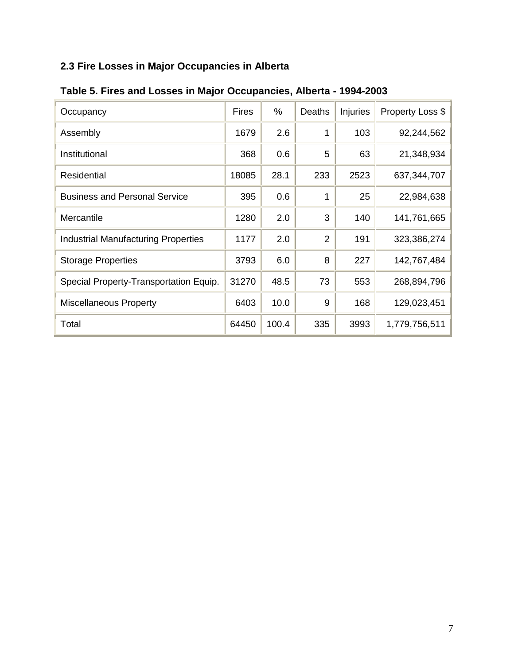# **2.3 Fire Losses in Major Occupancies in Alberta**

| Occupancy                                  | <b>Fires</b> | %     | Deaths         | Injuries | Property Loss \$ |
|--------------------------------------------|--------------|-------|----------------|----------|------------------|
| Assembly                                   | 1679         | 2.6   | 1              | 103      | 92,244,562       |
| Institutional                              | 368          | 0.6   | 5              | 63       | 21,348,934       |
| Residential                                | 18085        | 28.1  | 233            | 2523     | 637, 344, 707    |
| <b>Business and Personal Service</b>       | 395          | 0.6   | 1              | 25       | 22,984,638       |
| Mercantile                                 | 1280         | 2.0   | 3              | 140      | 141,761,665      |
| <b>Industrial Manufacturing Properties</b> | 1177         | 2.0   | $\overline{2}$ | 191      | 323,386,274      |
| <b>Storage Properties</b>                  | 3793         | 6.0   | 8              | 227      | 142,767,484      |
| Special Property-Transportation Equip.     | 31270        | 48.5  | 73             | 553      | 268,894,796      |
| <b>Miscellaneous Property</b>              | 6403         | 10.0  | 9              | 168      | 129,023,451      |
| Total                                      | 64450        | 100.4 | 335            | 3993     | 1,779,756,511    |

|  |  | Table 5. Fires and Losses in Major Occupancies, Alberta - 1994-2003 |
|--|--|---------------------------------------------------------------------|
|--|--|---------------------------------------------------------------------|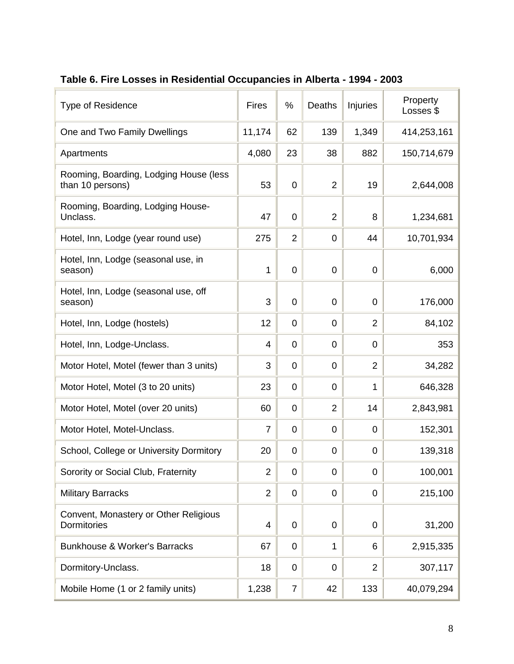| <b>Type of Residence</b>                                   | <b>Fires</b>   | %              | Deaths         | Injuries       | Property<br>Losses \$ |
|------------------------------------------------------------|----------------|----------------|----------------|----------------|-----------------------|
| One and Two Family Dwellings                               | 11,174         | 62             | 139            | 1,349          | 414,253,161           |
| Apartments                                                 | 4,080          | 23             | 38             | 882            | 150,714,679           |
| Rooming, Boarding, Lodging House (less<br>than 10 persons) | 53             | 0              | $\overline{2}$ | 19             | 2,644,008             |
| Rooming, Boarding, Lodging House-<br>Unclass.              | 47             | 0              | $\overline{2}$ | 8              | 1,234,681             |
| Hotel, Inn, Lodge (year round use)                         | 275            | 2              | $\overline{0}$ | 44             | 10,701,934            |
| Hotel, Inn, Lodge (seasonal use, in<br>season)             | 1              | 0              | 0              | 0              | 6,000                 |
| Hotel, Inn, Lodge (seasonal use, off<br>season)            | 3              | $\overline{0}$ | $\overline{0}$ | $\overline{0}$ | 176,000               |
| Hotel, Inn, Lodge (hostels)                                | 12             | 0              | 0              | $\overline{2}$ | 84,102                |
| Hotel, Inn, Lodge-Unclass.                                 | 4              | 0              | $\overline{0}$ | $\overline{0}$ | 353                   |
| Motor Hotel, Motel (fewer than 3 units)                    | 3              | 0              | 0              | $\overline{2}$ | 34,282                |
| Motor Hotel, Motel (3 to 20 units)                         | 23             | 0              | $\overline{0}$ | 1              | 646,328               |
| Motor Hotel, Motel (over 20 units)                         | 60             | 0              | $\overline{2}$ | 14             | 2,843,981             |
| Motor Hotel, Motel-Unclass.                                | $\overline{7}$ | 0              | 0              | 0              | 152,301               |
| School, College or University Dormitory                    | 20             | 0              | 0              | $\overline{0}$ | 139,318               |
| Sorority or Social Club, Fraternity                        | $\overline{2}$ | 0              | $\overline{0}$ | $\mathbf 0$    | 100,001               |
| <b>Military Barracks</b>                                   | 2              | 0              | $\overline{0}$ | $\overline{0}$ | 215,100               |
| Convent, Monastery or Other Religious<br>Dormitories       | 4              | 0              | 0              | $\mathbf 0$    | 31,200                |
| <b>Bunkhouse &amp; Worker's Barracks</b>                   | 67             | 0              | 1              | 6              | 2,915,335             |
| Dormitory-Unclass.                                         | 18             | 0              | $\overline{0}$ | $\overline{2}$ | 307,117               |
| Mobile Home (1 or 2 family units)                          | 1,238          | 7              | 42             | 133            | 40,079,294            |

# **Table 6. Fire Losses in Residential Occupancies in Alberta - 1994 - 2003**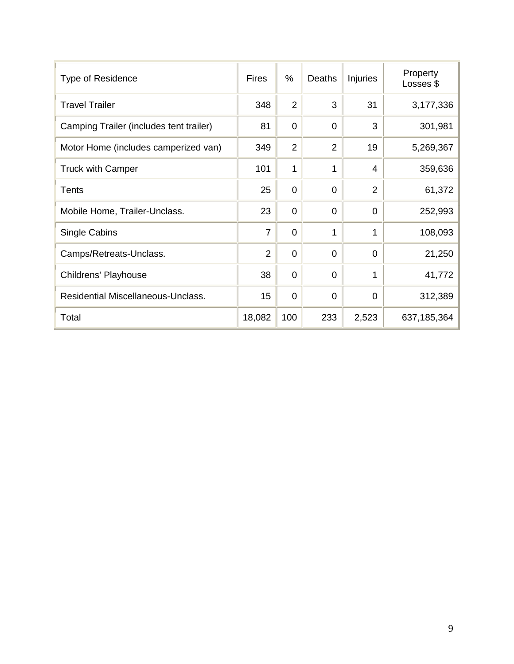| <b>Type of Residence</b>                  | <b>Fires</b>   | %              | Deaths         | <b>Injuries</b> | Property<br>Losses \$ |
|-------------------------------------------|----------------|----------------|----------------|-----------------|-----------------------|
| <b>Travel Trailer</b>                     | 348            | $\overline{2}$ | 3              | 31              | 3,177,336             |
| Camping Trailer (includes tent trailer)   | 81             | $\overline{0}$ | $\overline{0}$ | 3               | 301,981               |
| Motor Home (includes camperized van)      | 349            | $\overline{2}$ | $\overline{2}$ | 19              | 5,269,367             |
| <b>Truck with Camper</b>                  | 101            | 1              | 1              | $\overline{4}$  | 359,636               |
| <b>Tents</b>                              | 25             | $\overline{0}$ | $\overline{0}$ | $\overline{2}$  | 61,372                |
| Mobile Home, Trailer-Unclass.             | 23             | $\overline{0}$ | $\overline{0}$ | $\overline{0}$  | 252,993               |
| Single Cabins                             | 7              | $\overline{0}$ | 1              | 1               | 108,093               |
| Camps/Retreats-Unclass.                   | $\overline{2}$ | $\overline{0}$ | $\overline{0}$ | $\overline{0}$  | 21,250                |
| Childrens' Playhouse                      | 38             | $\overline{0}$ | $\overline{0}$ | 1               | 41,772                |
| <b>Residential Miscellaneous-Unclass.</b> | 15             | $\overline{0}$ | $\overline{0}$ | $\overline{0}$  | 312,389               |
| Total                                     | 18,082         | 100            | 233            | 2,523           | 637, 185, 364         |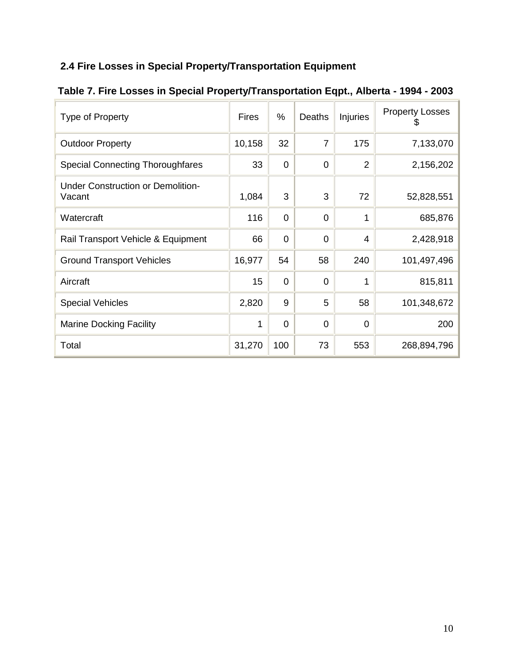## **2.4 Fire Losses in Special Property/Transportation Equipment**

| Type of Property                                   | <b>Fires</b> | %              | Deaths         | <b>Injuries</b> | <b>Property Losses</b><br>Ψ |
|----------------------------------------------------|--------------|----------------|----------------|-----------------|-----------------------------|
| <b>Outdoor Property</b>                            | 10,158       | 32             | 7              | 175             | 7,133,070                   |
| <b>Special Connecting Thoroughfares</b>            | 33           | $\Omega$       | $\overline{0}$ | $\overline{2}$  | 2,156,202                   |
| <b>Under Construction or Demolition-</b><br>Vacant | 1,084        | 3              | 3              | 72              | 52,828,551                  |
| Watercraft                                         | 116          | $\overline{0}$ | $\overline{0}$ | 1               | 685,876                     |
| Rail Transport Vehicle & Equipment                 | 66           | $\Omega$       | $\overline{0}$ | 4               | 2,428,918                   |
| <b>Ground Transport Vehicles</b>                   | 16,977       | 54             | 58             | 240             | 101,497,496                 |
| Aircraft                                           | 15           | $\overline{0}$ | $\overline{0}$ | 1               | 815,811                     |
| <b>Special Vehicles</b>                            | 2,820        | 9              | 5              | 58              | 101,348,672                 |
| <b>Marine Docking Facility</b>                     | 1            | $\Omega$       | $\overline{0}$ | 0               | 200                         |
| Total                                              | 31,270       | 100            | 73             | 553             | 268,894,796                 |

# **Table 7. Fire Losses in Special Property/Transportation Eqpt., Alberta - 1994 - 2003**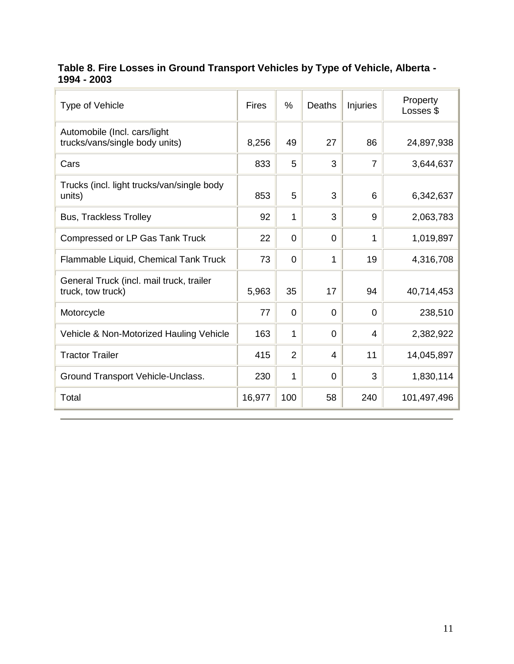#### **Table 8. Fire Losses in Ground Transport Vehicles by Type of Vehicle, Alberta - 1994 - 2003**

| Type of Vehicle                                                | <b>Fires</b> | $\%$           | Deaths   | <b>Injuries</b> | Property<br>Losses \$ |
|----------------------------------------------------------------|--------------|----------------|----------|-----------------|-----------------------|
| Automobile (Incl. cars/light<br>trucks/vans/single body units) | 8,256        | 49             | 27       | 86              | 24,897,938            |
| Cars                                                           | 833          | 5              | 3        | 7               | 3,644,637             |
| Trucks (incl. light trucks/van/single body<br>units)           | 853          | 5              | 3        | 6               | 6,342,637             |
| <b>Bus, Trackless Trolley</b>                                  | 92           | 1              | 3        | 9               | 2,063,783             |
| <b>Compressed or LP Gas Tank Truck</b>                         | 22           | $\overline{0}$ | $\Omega$ | 1               | 1,019,897             |
| Flammable Liquid, Chemical Tank Truck                          | 73           | $\overline{0}$ | 1        | 19              | 4,316,708             |
| General Truck (incl. mail truck, trailer<br>truck, tow truck)  | 5,963        | 35             | 17       | 94              | 40,714,453            |
| Motorcycle                                                     | 77           | $\overline{0}$ | $\Omega$ | $\Omega$        | 238,510               |
| Vehicle & Non-Motorized Hauling Vehicle                        | 163          | 1              | $\Omega$ | 4               | 2,382,922             |
| <b>Tractor Trailer</b>                                         | 415          | $\overline{2}$ | 4        | 11              | 14,045,897            |
| Ground Transport Vehicle-Unclass.                              | 230          | 1              | $\Omega$ | 3               | 1,830,114             |
| Total                                                          | 16,977       | 100            | 58       | 240             | 101,497,496           |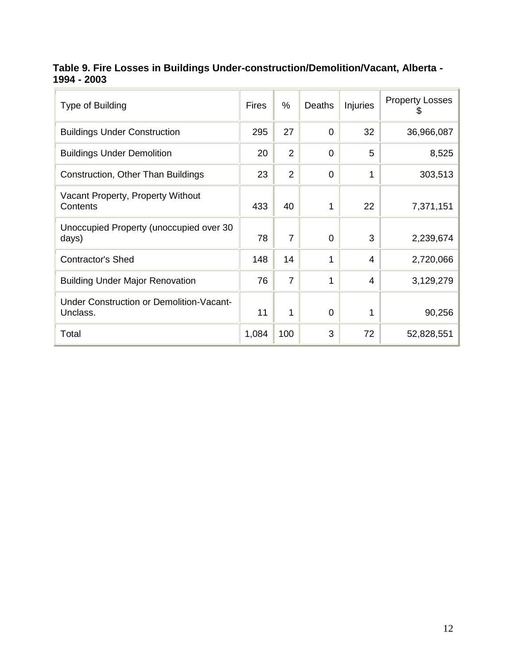#### **Table 9. Fire Losses in Buildings Under-construction/Demolition/Vacant, Alberta - 1994 - 2003**

| Type of Building                                     | <b>Fires</b> | $\%$           | <b>Deaths</b> | Injuries | <b>Property Losses</b><br>Ψ |
|------------------------------------------------------|--------------|----------------|---------------|----------|-----------------------------|
| <b>Buildings Under Construction</b>                  | 295          | 27             | 0             | 32       | 36,966,087                  |
| <b>Buildings Under Demolition</b>                    | 20           | $\overline{2}$ | 0             | 5        | 8,525                       |
| Construction, Other Than Buildings                   | 23           | $\overline{2}$ | 0             | 1        | 303,513                     |
| Vacant Property, Property Without<br>Contents        | 433          | 40             | 1             | 22       | 7,371,151                   |
| Unoccupied Property (unoccupied over 30<br>days)     | 78           | $\overline{7}$ | $\Omega$      | 3        | 2,239,674                   |
| Contractor's Shed                                    | 148          | 14             | 1             | 4        | 2,720,066                   |
| <b>Building Under Major Renovation</b>               | 76           | $\overline{7}$ | 1             | 4        | 3,129,279                   |
| Under Construction or Demolition-Vacant-<br>Unclass. | 11           | 1              | $\Omega$      | 1        | 90,256                      |
| Total                                                | 1,084        | 100            | 3             | 72       | 52,828,551                  |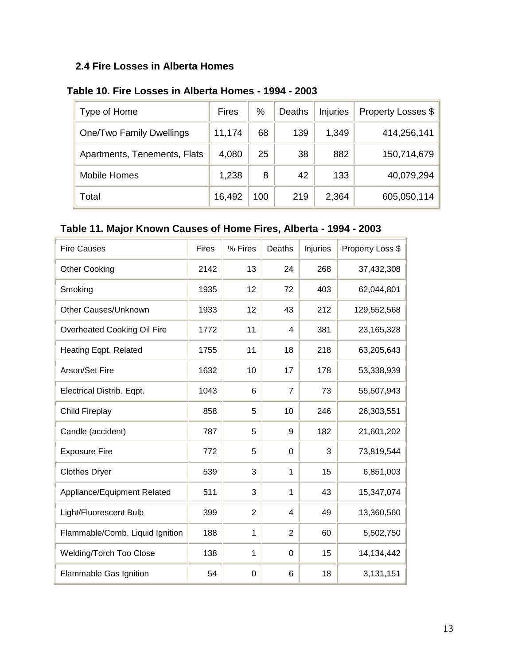#### **2.4 Fire Losses in Alberta Homes**

| Type of Home                 | <b>Fires</b> | %   | Deaths | Injuries | Property Losses \$ |
|------------------------------|--------------|-----|--------|----------|--------------------|
| One/Two Family Dwellings     | 11,174       | 68  | 139    | 1,349    | 414,256,141        |
| Apartments, Tenements, Flats | 4,080        | 25  | 38     | 882      | 150,714,679        |
| <b>Mobile Homes</b>          | 1,238        | 8   | 42     | 133      | 40,079,294         |
| Total                        | 16,492       | 100 | 219    | 2,364    | 605,050,114        |

#### **Table 10. Fire Losses in Alberta Homes - 1994 - 2003**

## **Table 11. Major Known Causes of Home Fires, Alberta - 1994 - 2003**

| <b>Fire Causes</b>              | Fires | % Fires        | Deaths         | Injuries | Property Loss \$ |
|---------------------------------|-------|----------------|----------------|----------|------------------|
| <b>Other Cooking</b>            | 2142  | 13             | 24             | 268      | 37,432,308       |
| Smoking                         | 1935  | 12             | 72             | 403      | 62,044,801       |
| Other Causes/Unknown            | 1933  | 12             | 43             | 212      | 129,552,568      |
| Overheated Cooking Oil Fire     | 1772  | 11             | 4              | 381      | 23,165,328       |
| Heating Eqpt. Related           | 1755  | 11             | 18             | 218      | 63,205,643       |
| Arson/Set Fire                  | 1632  | 10             | 17             | 178      | 53,338,939       |
| Electrical Distrib. Eqpt.       | 1043  | 6              | $\overline{7}$ | 73       | 55,507,943       |
| Child Fireplay                  | 858   | 5              | 10             | 246      | 26,303,551       |
| Candle (accident)               | 787   | 5              | 9              | 182      | 21,601,202       |
| <b>Exposure Fire</b>            | 772   | 5              | $\mathbf 0$    | 3        | 73,819,544       |
| <b>Clothes Dryer</b>            | 539   | 3              | 1              | 15       | 6,851,003        |
| Appliance/Equipment Related     | 511   | 3              | $\mathbf{1}$   | 43       | 15,347,074       |
| Light/Fluorescent Bulb          | 399   | $\overline{2}$ | $\overline{4}$ | 49       | 13,360,560       |
| Flammable/Comb. Liquid Ignition | 188   | 1              | $\overline{2}$ | 60       | 5,502,750        |
| <b>Welding/Torch Too Close</b>  | 138   | $\mathbf{1}$   | $\overline{0}$ | 15       | 14,134,442       |
| Flammable Gas Ignition          | 54    | 0              | 6              | 18       | 3,131,151        |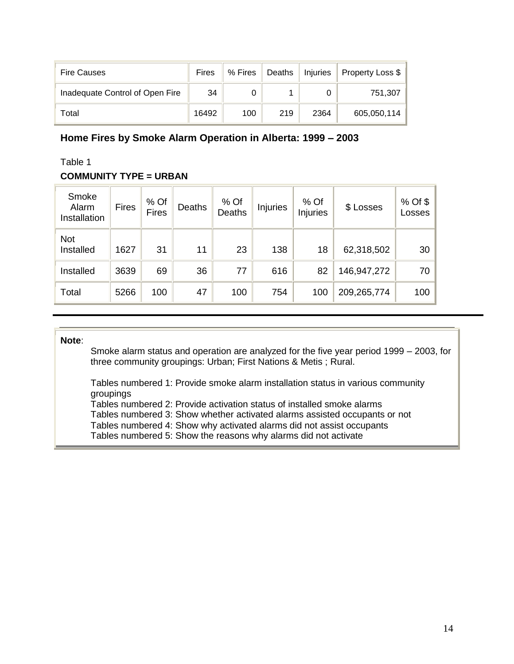| <b>Fire Causes</b>              | Fires | % Fires | Deaths | Injuries | Property Loss \$ |
|---------------------------------|-------|---------|--------|----------|------------------|
| Inadequate Control of Open Fire | 34    |         |        |          | 751,307          |
| Total                           | 16492 | 100     | 219    | 2364     | 605,050,114      |

#### **Home Fires by Smoke Alarm Operation in Alberta: 1999 – 2003**

#### Table 1

#### **COMMUNITY TYPE = URBAN**

| Smoke<br>Alarm<br>Installation | <b>Fires</b> | % Of<br><b>Fires</b> | Deaths | % Of<br>Deaths | <b>Injuries</b> | % Of<br><b>Injuries</b> | \$ Losses   | % Of \$<br>Losses |
|--------------------------------|--------------|----------------------|--------|----------------|-----------------|-------------------------|-------------|-------------------|
| <b>Not</b><br>Installed        | 1627         | 31                   | 11     | 23             | 138             | 18                      | 62,318,502  | 30                |
| Installed                      | 3639         | 69                   | 36     | 77             | 616             | 82                      | 146,947,272 | 70                |
| Total                          | 5266         | 100                  | 47     | 100            | 754             | 100                     | 209,265,774 | 100               |

#### **Note**:

Smoke alarm status and operation are analyzed for the five year period 1999 – 2003, for three community groupings: Urban; First Nations & Metis ; Rural.

Tables numbered 1: Provide smoke alarm installation status in various community groupings

Tables numbered 2: Provide activation status of installed smoke alarms

Tables numbered 3: Show whether activated alarms assisted occupants or not

Tables numbered 4: Show why activated alarms did not assist occupants

Tables numbered 5: Show the reasons why alarms did not activate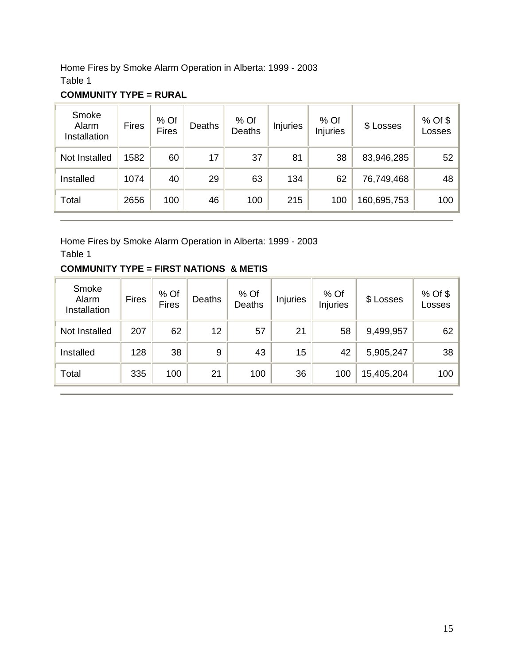Home Fires by Smoke Alarm Operation in Alberta: 1999 - 2003 Table 1

| Smoke<br>Alarm<br>Installation | <b>Fires</b> | % Of<br><b>Fires</b> | <b>Deaths</b> | % Of<br><b>Deaths</b> | <b>Injuries</b> | $%$ Of<br><b>Injuries</b> | \$ Losses   | % Of \$<br>Losses |
|--------------------------------|--------------|----------------------|---------------|-----------------------|-----------------|---------------------------|-------------|-------------------|
| Not Installed                  | 1582         | 60                   | 17            | 37                    | 81              | 38                        | 83,946,285  | 52                |
| Installed                      | 1074         | 40                   | 29            | 63                    | 134             | 62                        | 76,749,468  | 48                |
| Total                          | 2656         | 100                  | 46            | 100                   | 215             | 100                       | 160,695,753 | 100               |

#### **COMMUNITY TYPE = RURAL**

Home Fires by Smoke Alarm Operation in Alberta: 1999 - 2003 Table 1

#### **COMMUNITY TYPE = FIRST NATIONS & METIS**

| Smoke<br>Alarm<br>Installation | <b>Fires</b> | % Of<br><b>Fires</b> | Deaths | % Of<br>Deaths | Injuries | % Of<br><b>Injuries</b> | \$ Losses  | % Of \$<br>Losses |
|--------------------------------|--------------|----------------------|--------|----------------|----------|-------------------------|------------|-------------------|
| Not Installed                  | 207          | 62                   | 12     | 57             | 21       | 58                      | 9,499,957  | 62                |
| Installed                      | 128          | 38                   | 9      | 43             | 15       | 42                      | 5,905,247  | 38                |
| Total                          | 335          | 100                  | 21     | 100            | 36       | 100                     | 15,405,204 | 100               |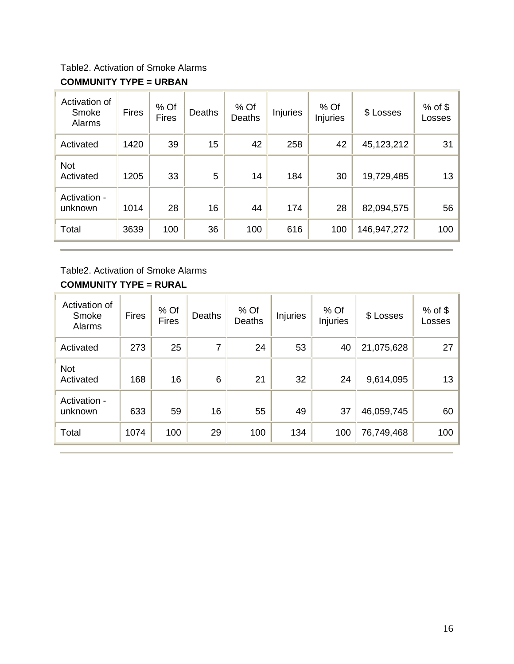Table2. Activation of Smoke Alarms

#### **COMMUNITY TYPE = URBAN**

| Activation of<br>Smoke<br>Alarms | <b>Fires</b> | % Of<br><b>Fires</b> | <b>Deaths</b> | % Of<br>Deaths | Injuries | % Of<br><b>Injuries</b> | \$ Losses    | $%$ of \$<br>Losses |
|----------------------------------|--------------|----------------------|---------------|----------------|----------|-------------------------|--------------|---------------------|
| Activated                        | 1420         | 39                   | 15            | 42             | 258      | 42                      | 45, 123, 212 | 31                  |
| <b>Not</b><br>Activated          | 1205         | 33                   | 5             | 14             | 184      | 30                      | 19,729,485   | 13                  |
| Activation -<br>unknown          | 1014         | 28                   | 16            | 44             | 174      | 28                      | 82,094,575   | 56                  |
| Total                            | 3639         | 100                  | 36            | 100            | 616      | 100                     | 146,947,272  | 100                 |

# Table2. Activation of Smoke Alarms

### **COMMUNITY TYPE = RURAL**

| Activation of<br>Smoke<br>Alarms | <b>Fires</b> | % Of<br><b>Fires</b> | <b>Deaths</b> | $%$ Of<br>Deaths | <b>Injuries</b> | $%$ Of<br><b>Injuries</b> | \$ Losses  | $%$ of \$<br>Losses |
|----------------------------------|--------------|----------------------|---------------|------------------|-----------------|---------------------------|------------|---------------------|
| Activated                        | 273          | 25                   | 7             | 24               | 53              | 40                        | 21,075,628 | 27                  |
| <b>Not</b><br>Activated          | 168          | 16                   | 6             | 21               | 32              | 24                        | 9,614,095  | 13                  |
| Activation -<br>unknown          | 633          | 59                   | 16            | 55               | 49              | 37                        | 46,059,745 | 60                  |
| Total                            | 1074         | 100                  | 29            | 100              | 134             | 100                       | 76,749,468 | 100                 |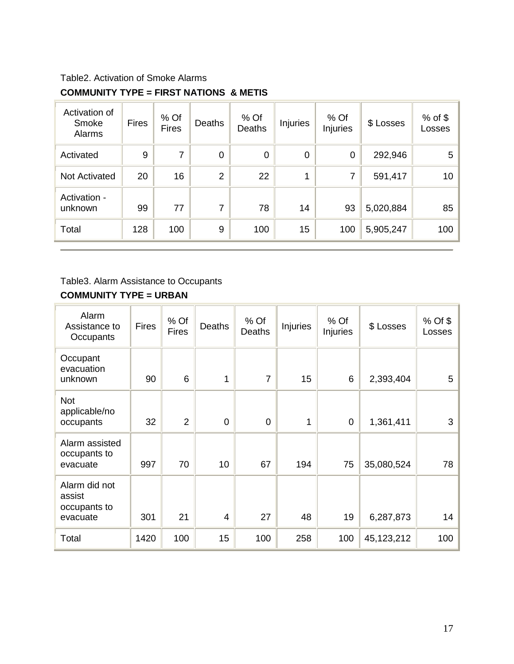## Table2. Activation of Smoke Alarms **COMMUNITY TYPE = FIRST NATIONS & METIS**

| Activation of<br>Smoke<br>Alarms | <b>Fires</b> | % Of<br><b>Fires</b> | <b>Deaths</b>  | $%$ Of<br><b>Deaths</b> | <b>Injuries</b> | $%$ Of<br>Injuries | \$ Losses | $%$ of \$<br>Losses |
|----------------------------------|--------------|----------------------|----------------|-------------------------|-----------------|--------------------|-----------|---------------------|
| Activated                        | 9            | 7                    | 0              | $\overline{0}$          | $\mathbf 0$     | $\overline{0}$     | 292,946   | 5 <sup>1</sup>      |
| <b>Not Activated</b>             | 20           | 16                   | $\overline{2}$ | 22                      | 1               | 7                  | 591,417   | 10 <sup>1</sup>     |
| Activation -<br>unknown          | 99           | 77                   | $\overline{7}$ | 78                      | 14              | 93                 | 5,020,884 | 85                  |
| Total                            | 128          | 100                  | 9              | 100                     | 15              | 100                | 5,905,247 | 100                 |

#### Table3. Alarm Assistance to Occupants

#### **COMMUNITY TYPE = URBAN**

| Alarm<br>Assistance to<br>Occupants                 | <b>Fires</b> | % Of<br><b>Fires</b> | Deaths         | % Of<br><b>Deaths</b> | Injuries | $%$ Of<br>Injuries | \$ Losses  | $%$ Of \$<br>Losses |
|-----------------------------------------------------|--------------|----------------------|----------------|-----------------------|----------|--------------------|------------|---------------------|
| Occupant<br>evacuation<br>unknown                   | 90           | 6                    | 1              | $\overline{7}$        | 15       | 6                  | 2,393,404  | 5                   |
| <b>Not</b><br>applicable/no<br>occupants            | 32           | $\overline{2}$       | $\overline{0}$ | $\overline{0}$        | 1        | $\mathbf 0$        | 1,361,411  | 3                   |
| Alarm assisted<br>occupants to<br>evacuate          | 997          | 70                   | 10             | 67                    | 194      | 75                 | 35,080,524 | 78                  |
| Alarm did not<br>assist<br>occupants to<br>evacuate | 301          | 21                   | 4              | 27                    | 48       | 19                 | 6,287,873  | 14                  |
| Total                                               | 1420         | 100                  | 15             | 100                   | 258      | 100                | 45,123,212 | 100                 |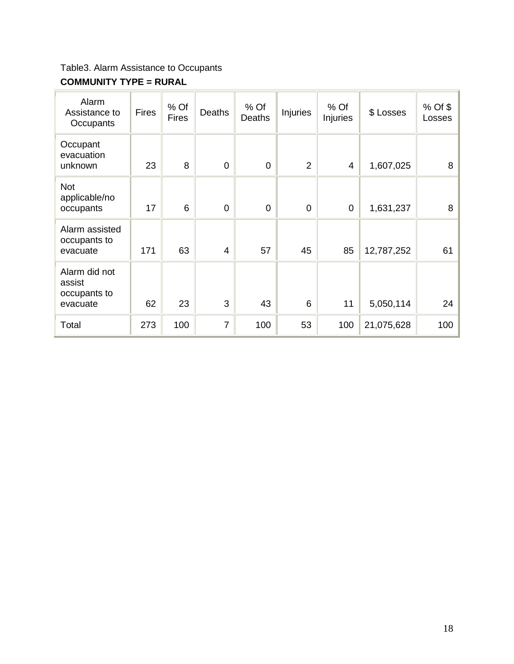Table3. Alarm Assistance to Occupants

#### **COMMUNITY TYPE = RURAL**

| Alarm<br>Assistance to<br>Occupants                 | <b>Fires</b> | % Of<br><b>Fires</b> | Deaths         | % Of<br>Deaths | <b>Injuries</b> | % Of<br>Injuries | \$ Losses  | $%$ Of \$<br>Losses |
|-----------------------------------------------------|--------------|----------------------|----------------|----------------|-----------------|------------------|------------|---------------------|
| Occupant<br>evacuation<br>unknown                   | 23           | 8                    | $\overline{0}$ | $\Omega$       | 2               | 4                | 1,607,025  | 8                   |
| <b>Not</b><br>applicable/no<br>occupants            | 17           | 6                    | $\overline{0}$ | $\mathbf 0$    | $\overline{0}$  | $\overline{0}$   | 1,631,237  | 8                   |
| Alarm assisted<br>occupants to<br>evacuate          | 171          | 63                   | $\overline{4}$ | 57             | 45              | 85               | 12,787,252 | 61                  |
| Alarm did not<br>assist<br>occupants to<br>evacuate | 62           | 23                   | 3              | 43             | 6               | 11               | 5,050,114  | 24                  |
| Total                                               | 273          | 100                  | 7              | 100            | 53              | 100              | 21,075,628 | 100                 |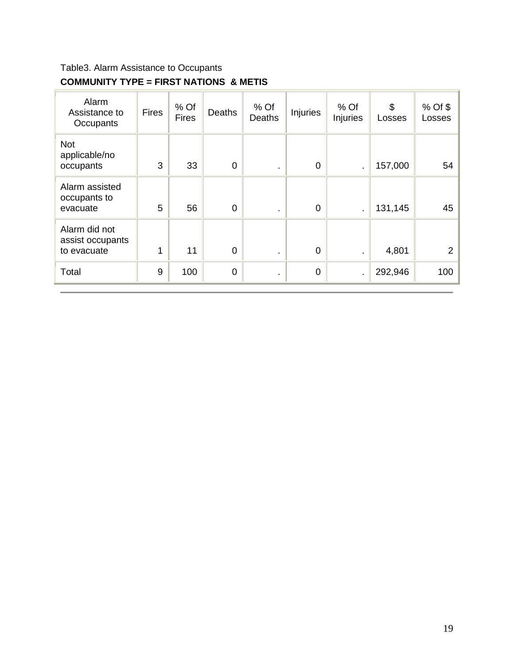## Table3. Alarm Assistance to Occupants **COMMUNITY TYPE = FIRST NATIONS & METIS**

| Alarm<br>Assistance to<br>Occupants              | <b>Fires</b> | % Of<br><b>Fires</b> | Deaths         | % Of<br>Deaths | <b>Injuries</b> | $%$ Of<br>Injuries | \$<br>Losses | % Of \$<br>Losses |
|--------------------------------------------------|--------------|----------------------|----------------|----------------|-----------------|--------------------|--------------|-------------------|
| <b>Not</b><br>applicable/no<br>occupants         | 3            | 33                   | $\overline{0}$ | $\blacksquare$ | $\overline{0}$  |                    | 157,000      | 54                |
| Alarm assisted<br>occupants to<br>evacuate       | 5            | 56                   | $\overline{0}$ | ٠.             | $\mathbf 0$     |                    | 131,145      | 45                |
| Alarm did not<br>assist occupants<br>to evacuate | 4            | 11                   | $\overline{0}$ | ٠.             | $\mathbf 0$     |                    | 4,801        | 2 <sup>1</sup>    |
| Total                                            | 9            | 100                  | 0              | $\blacksquare$ | $\mathbf 0$     |                    | 292,946      | 100               |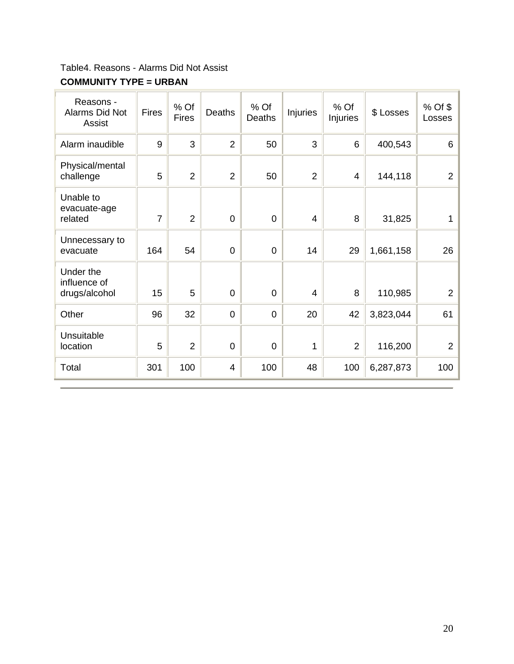Table4. Reasons - Alarms Did Not Assist

#### **COMMUNITY TYPE = URBAN**

| Reasons -<br>Alarms Did Not<br>Assist      | <b>Fires</b>   | % Of<br><b>Fires</b> | Deaths         | % Of<br><b>Deaths</b> | <b>Injuries</b> | % Of<br>Injuries | \$ Losses | % Of \$<br>Losses |
|--------------------------------------------|----------------|----------------------|----------------|-----------------------|-----------------|------------------|-----------|-------------------|
| Alarm inaudible                            | 9              | 3                    | $\overline{2}$ | 50                    | 3               | 6                | 400,543   | 6                 |
| Physical/mental<br>challenge               | 5              | $\overline{2}$       | $\overline{2}$ | 50                    | $\overline{2}$  | 4                | 144,118   | $\overline{2}$    |
| Unable to<br>evacuate-age<br>related       | $\overline{7}$ | $\overline{2}$       | $\overline{0}$ | $\overline{0}$        | $\overline{4}$  | 8                | 31,825    | 1                 |
| Unnecessary to<br>evacuate                 | 164            | 54                   | $\mathbf 0$    | $\mathbf 0$           | 14              | 29               | 1,661,158 | 26                |
| Under the<br>influence of<br>drugs/alcohol | 15             | 5                    | $\overline{0}$ | $\mathbf 0$           | 4               | 8                | 110,985   | $\overline{2}$    |
| Other                                      | 96             | 32                   | $\overline{0}$ | $\overline{0}$        | 20              | 42               | 3,823,044 | 61                |
| Unsuitable<br>location                     | 5              | $\overline{2}$       | $\overline{0}$ | $\mathbf 0$           | 1               | $\overline{2}$   | 116,200   | $\overline{2}$    |
| Total                                      | 301            | 100                  | 4              | 100                   | 48              | 100              | 6,287,873 | 100               |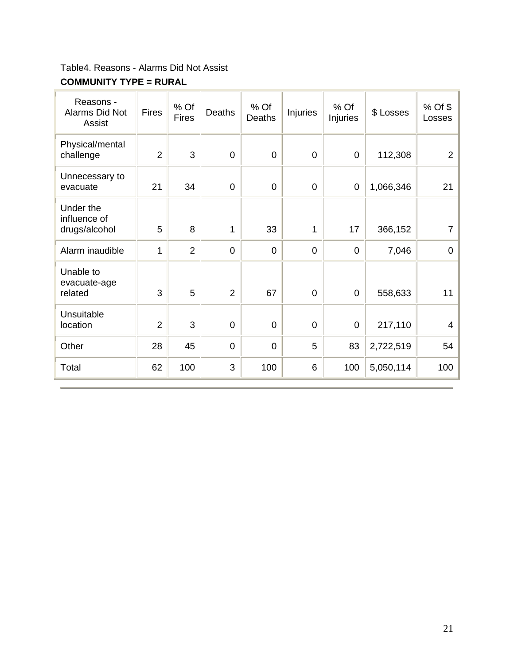Table4. Reasons - Alarms Did Not Assist

#### **COMMUNITY TYPE = RURAL**

| Reasons -<br>Alarms Did Not<br>Assist      | <b>Fires</b>   | % Of<br><b>Fires</b> | Deaths         | % Of<br><b>Deaths</b> | <b>Injuries</b> | % Of<br>Injuries | \$ Losses | % Of \$<br>Losses |
|--------------------------------------------|----------------|----------------------|----------------|-----------------------|-----------------|------------------|-----------|-------------------|
| Physical/mental<br>challenge               | $\overline{2}$ | 3                    | $\mathbf 0$    | $\mathbf 0$           | $\mathbf 0$     | $\overline{0}$   | 112,308   | $\overline{2}$    |
| Unnecessary to<br>evacuate                 | 21             | 34                   | $\overline{0}$ | $\mathbf 0$           | $\mathbf 0$     | $\mathbf 0$      | 1,066,346 | 21                |
| Under the<br>influence of<br>drugs/alcohol | 5              | 8                    | 1              | 33                    | 1               | 17               | 366,152   | 7                 |
| Alarm inaudible                            | 1              | $\overline{2}$       | $\mathbf 0$    | $\mathbf 0$           | $\mathbf 0$     | $\mathbf 0$      | 7,046     | 0                 |
| Unable to<br>evacuate-age<br>related       | 3              | 5                    | $\overline{2}$ | 67                    | $\mathbf 0$     | $\mathbf 0$      | 558,633   | 11                |
| Unsuitable<br>location                     | $\overline{2}$ | 3                    | $\overline{0}$ | $\mathbf 0$           | $\mathbf 0$     | $\mathbf 0$      | 217,110   | 4                 |
| Other                                      | 28             | 45                   | 0              | $\overline{0}$        | 5               | 83               | 2,722,519 | 54                |
| Total                                      | 62             | 100                  | 3              | 100                   | $6\phantom{1}$  | 100              | 5,050,114 | 100               |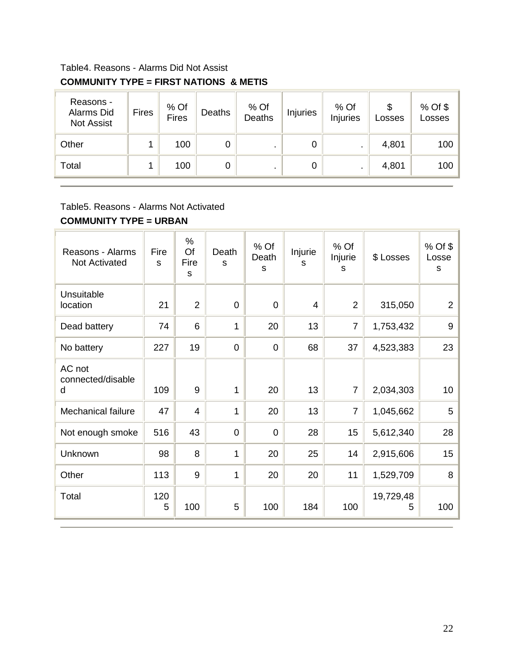## Table4. Reasons - Alarms Did Not Assist **COMMUNITY TYPE = FIRST NATIONS & METIS**

| Reasons -<br>Alarms Did<br><b>Not Assist</b> | <b>Fires</b> | % Of<br><b>Fires</b> | Deaths | % Of<br>Deaths | <b>Injuries</b> | % Of<br>Injuries | S<br>Losses | $%$ Of \$<br>Losses |
|----------------------------------------------|--------------|----------------------|--------|----------------|-----------------|------------------|-------------|---------------------|
| Other                                        |              | 100                  | 0      |                | 0               |                  | 4,801       | 100                 |
| Total                                        |              | 100                  | 0      |                | 0               |                  | 4,801       | 100                 |

#### Table5. Reasons - Alarms Not Activated

#### **COMMUNITY TYPE = URBAN**

| Reasons - Alarms<br><b>Not Activated</b> | Fire<br>S | %<br>Of<br>Fire<br>S | Death<br>S     | % Of<br>Death<br>S | Injurie<br>s   | % Of<br>Injurie<br>S | \$ Losses      | % Of \$<br>Losse<br>s |
|------------------------------------------|-----------|----------------------|----------------|--------------------|----------------|----------------------|----------------|-----------------------|
| Unsuitable<br>location                   | 21        | $\overline{2}$       | $\overline{0}$ | $\overline{0}$     | $\overline{4}$ | $\overline{2}$       | 315,050        | $\overline{2}$        |
| Dead battery                             | 74        | 6                    | 1              | 20                 | 13             | $\overline{7}$       | 1,753,432      | 9                     |
| No battery                               | 227       | 19                   | $\overline{0}$ | $\mathbf 0$        | 68             | 37                   | 4,523,383      | 23                    |
| AC not<br>connected/disable              |           |                      |                |                    |                |                      |                |                       |
| d                                        | 109       | 9                    | 1              | 20                 | 13             | $\overline{7}$       | 2,034,303      | 10 <sub>1</sub>       |
| Mechanical failure                       | 47        | $\overline{4}$       | 1              | 20                 | 13             | $\overline{7}$       | 1,045,662      | 5                     |
| Not enough smoke                         | 516       | 43                   | $\overline{0}$ | $\overline{0}$     | 28             | 15                   | 5,612,340      | 28                    |
| Unknown                                  | 98        | 8                    | 1              | 20                 | 25             | 14                   | 2,915,606      | 15                    |
| Other                                    | 113       | 9                    | 1              | 20                 | 20             | 11                   | 1,529,709      | 8                     |
| Total                                    | 120<br>5  | 100                  | 5              | 100                | 184            | 100                  | 19,729,48<br>5 | 100                   |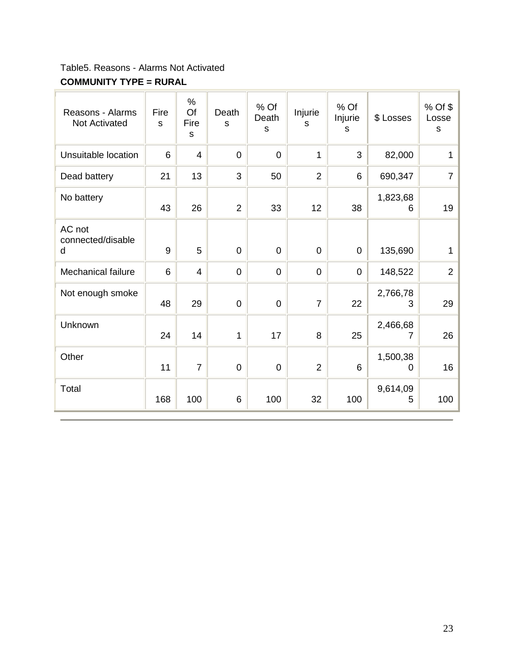Table5. Reasons - Alarms Not Activated

## **COMMUNITY TYPE = RURAL**

| Reasons - Alarms<br><b>Not Activated</b> | Fire<br>S | $\%$<br>Of<br>Fire<br>S | Death<br>S     | % Of<br>Death<br>S | Injurie<br>S   | % Of<br>Injurie<br>S | \$ Losses     | % Of \$<br>Losse<br>$\mathbf S$ |
|------------------------------------------|-----------|-------------------------|----------------|--------------------|----------------|----------------------|---------------|---------------------------------|
| Unsuitable location                      | 6         | $\overline{4}$          | $\mathbf 0$    | $\overline{0}$     | $\mathbf{1}$   | 3                    | 82,000        | 1                               |
| Dead battery                             | 21        | 13                      | 3              | 50                 | $\overline{2}$ | 6                    | 690,347       | $\overline{7}$                  |
| No battery                               | 43        | 26                      | $\overline{2}$ | 33                 | 12             | 38                   | 1,823,68<br>6 | 19                              |
| AC not<br>connected/disable<br>d         | 9         | 5                       | $\mathbf 0$    | $\Omega$           | $\overline{0}$ | $\mathbf 0$          | 135,690       | 1                               |
| Mechanical failure                       | 6         | $\overline{4}$          | $\mathbf 0$    | $\overline{0}$     | $\mathbf 0$    | $\mathbf 0$          | 148,522       | $\overline{2}$                  |
| Not enough smoke                         | 48        | 29                      | $\mathbf 0$    | $\overline{0}$     | $\overline{7}$ | 22                   | 2,766,78<br>3 | 29                              |
| Unknown                                  | 24        | 14                      | $\mathbf{1}$   | 17                 | 8              | 25                   | 2,466,68<br>7 | 26                              |
| Other                                    | 11        | $\overline{7}$          | $\pmb{0}$      | $\overline{0}$     | $\overline{2}$ | 6                    | 1,500,38<br>0 | 16                              |
| Total                                    | 168       | 100                     | 6              | 100                | 32             | 100                  | 9,614,09<br>5 | 100                             |